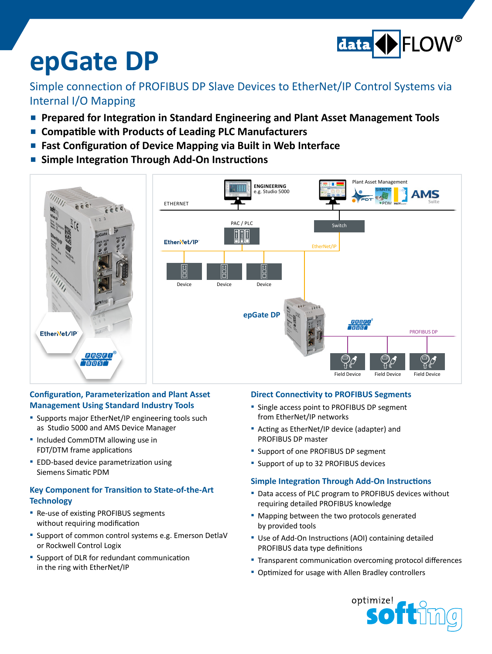

# **epGate DP**

### Simple connection of PROFIBUS DP Slave Devices to EtherNet/IP Control Systems via Internal I/O Mapping

- **Prepared for Integration in Standard Engineering and Plant Asset Management Tools**
- **▪ Compatible with Products of Leading PLC Manufacturers**
- **Fast Configuration of Device Mapping via Built in Web Interface**
- **▪ Simple Integration Through Add-On Instructions**



#### **Configuration, Parameterization and Plant Asset Management Using Standard Industry Tools**

- Supports major EtherNet/IP engineering tools such as Studio 5000 and AMS Device Manager
- **▪**  Included CommDTM allowing use in FDT/DTM frame applications
- **■** EDD-based device parametrization using Siemens Simatic PDM

#### **Key Component for Transition to State-of-the-Art Technology**

- **■** Re-use of existing PROFIBUS segments without requiring modification
- **▪**  Support of common control systems e.g. Emerson DetlaV or Rockwell Control Logix
- **■** Support of DLR for redundant communication in the ring with EtherNet/IP

#### **Direct Connectivity to PROFIBUS Segments**

- Single access point to PROFIBUS DP segment from EtherNet/IP networks
- **▪**  Acting as EtherNet/IP device (adapter) and PROFIBUS DP master
- **▪**  Support of one PROFIBUS DP segment
- **▪**  Support of up to 32 PROFIBUS devices

#### **Simple Integration Through Add-On Instructions**

- Data access of PLC program to PROFIBUS devices without requiring detailed PROFIBUS knowledge
- **▪**  Mapping between the two protocols generated by provided tools
- Use of Add-On Instructions (AOI) containing detailed PROFIBUS data type definitions
- **E** Transparent communication overcoming protocol differences
- Optimized for usage with Allen Bradley controllers